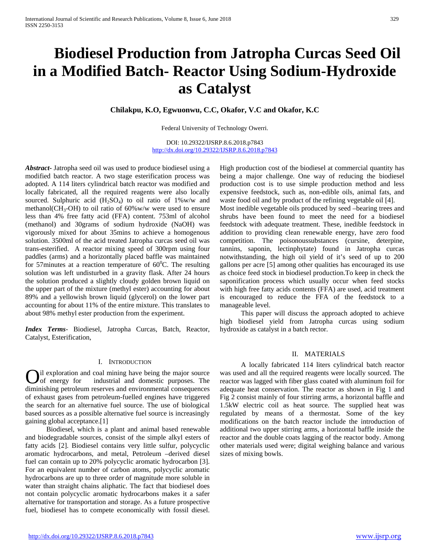# **Biodiesel Production from Jatropha Curcas Seed Oil in a Modified Batch- Reactor Using Sodium-Hydroxide as Catalyst**

**Chilakpu, K.O, Egwuonwu, C.C, Okafor, V.C and Okafor, K.C** 

Federal University of Technology Owerri.

DOI: 10.29322/IJSRP.8.6.2018.p7843 <http://dx.doi.org/10.29322/IJSRP.8.6.2018.p7843>

*Abstract***-** Jatropha seed oil was used to produce biodiesel using a modified batch reactor. A two stage esterification process was adopted. A 114 liters cylindrical batch reactor was modified and locally fabricated, all the required reagents were also locally sourced. Sulphuric acid  $(H_2SO_4)$  to oil ratio of 1%w/w and methanol(CH<sub>3</sub>-OH) to oil ratio of  $60\%$  w/w were used to ensure less than 4% free fatty acid (FFA) content. 753ml of alcohol (methanol) and 30grams of sodium hydroxide (NaOH) was vigorously mixed for about 35mins to achieve a homogenous solution. 3500ml of the acid treated Jatropha curcas seed oil was trans-esterified. A reactor mixing speed of 300rpm using four paddles (arms) and a horizontally placed baffle was maintained for 57 minutes at a reaction temperature of  $60^{\circ}$ C. The resulting solution was left undisturbed in a gravity flask. After 24 hours the solution produced a slightly cloudy golden brown liquid on the upper part of the mixture (methyl ester) accounting for about 89% and a yellowish brown liquid (glycerol) on the lower part accounting for about 11% of the entire mixture. This translates to about 98% methyl ester production from the experiment.

*Index Terms*- Biodiesel, Jatropha Curcas, Batch, Reactor, Catalyst, Esterification,

### I. INTRODUCTION

il exploration and coal mining have being the major source industrial and domestic purposes. The diminishing petroleum reserves and environmental consequences of exhaust gases from petroleum-fuelled engines have triggered the search for an alternative fuel source. The use of biological based sources as a possible alternative fuel source is increasingly gaining global acceptance.[1]  $\int_{\text{of energy}}^{\text{II}} \text{exp}(\omega) d\omega$ 

 Biodiesel, which is a plant and animal based renewable and biodegradable sources, consist of the simple alkyl esters of fatty acids [2]. Biodiesel contains very little sulfur, polycyclic aromatic hydrocarbons, and metal, Petroleum –derived diesel fuel can contain up to 20% polycyclic aromatic hydrocarbon [3]. For an equivalent number of carbon atoms, polycyclic aromatic hydrocarbons are up to three order of magnitude more soluble in water than straight chains aliphatic. The fact that biodiesel does not contain polycyclic aromatic hydrocarbons makes it a safer alternative for transportation and storage. As a future prospective fuel, biodiesel has to compete economically with fossil diesel. High production cost of the biodiesel at commercial quantity has being a major challenge. One way of reducing the biodiesel production cost is to use simple production method and less expensive feedstock, such as, non-edible oils, animal fats, and waste food oil and by product of the refining vegetable oil [4]. Most inedible vegetable oils produced by seed –bearing trees and shrubs have been found to meet the need for a biodiesel feedstock with adequate treatment. These, inedible feedstock in addition to providing clean renewable energy, have zero food competition. The poisonoussubstances (cursine, deterpine, tannins, saponin, lectinphytate) found in Jatropha curcas notwithstanding, the high oil yield of it's seed of up to 200 gallons per acre [5] among other qualities has encouraged its use as choice feed stock in biodiesel production.To keep in check the saponification process which usually occur when feed stocks with high free fatty acids contents (FFA) are used, acid treatment is encouraged to reduce the FFA of the feedstock to a manageable level.

 This paper will discuss the approach adopted to achieve high biodiesel yield from Jatropha curcas using sodium hydroxide as catalyst in a batch rector.

### II. MATERIALS

 A locally fabricated 114 liters cylindrical batch reactor was used and all the required reagents were locally sourced. The reactor was lagged with fiber glass coated with aluminum foil for adequate heat conservation. The reactor as shown in Fig 1 and Fig 2 consist mainly of four stirring arms, a horizontal baffle and 1.5kW electric coil as heat source. The supplied heat was regulated by means of a thermostat. Some of the key modifications on the batch reactor include the introduction of additional two upper stirring arms, a horizontal baffle inside the reactor and the double coats lagging of the reactor body. Among other materials used were; digital weighing balance and various sizes of mixing bowls.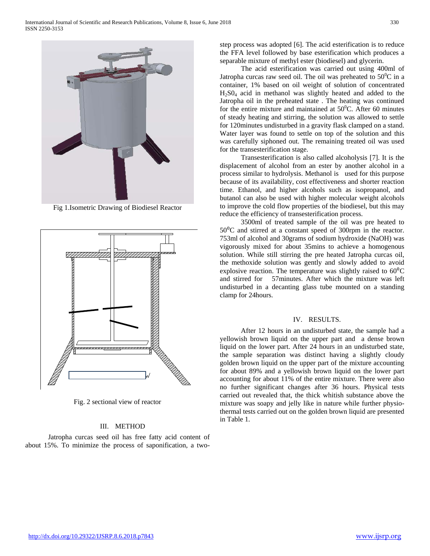

Fig 1.Isometric Drawing of Biodiesel Reactor



Fig. 2 sectional view of reactor

# III. METHOD

 Jatropha curcas seed oil has free fatty acid content of about 15%. To minimize the process of saponification, a twostep process was adopted [6]. The acid esterification is to reduce the FFA level followed by base esterification which produces a separable mixture of methyl ester (biodiesel) and glycerin.

 The acid esterification was carried out using 400ml of Jatropha curcas raw seed oil. The oil was preheated to  $50^0C$  in a container, 1% based on oil weight of solution of concentrated H2S04 acid in methanol was slightly heated and added to the Jatropha oil in the preheated state . The heating was continued for the entire mixture and maintained at  $50^{\circ}$ C. After 60 minutes of steady heating and stirring, the solution was allowed to settle for 120minutes undisturbed in a gravity flask clamped on a stand. Water layer was found to settle on top of the solution and this was carefully siphoned out. The remaining treated oil was used for the transesterification stage.

 Transesterification is also called alcoholysis [7]. It is the displacement of alcohol from an ester by another alcohol in a process similar to hydrolysis. Methanol is used for this purpose because of its availability, cost effectiveness and shorter reaction time. Ethanol, and higher alcohols such as isopropanol, and butanol can also be used with higher molecular weight alcohols to improve the cold flow properties of the biodiesel, but this may reduce the efficiency of transesterification process.

 3500ml of treated sample of the oil was pre heated to  $50^{\circ}$ C and stirred at a constant speed of 300rpm in the reactor. 753ml of alcohol and 30grams of sodium hydroxide (NaOH) was vigorously mixed for about 35mins to achieve a homogenous solution. While still stirring the pre heated Jatropha curcas oil, the methoxide solution was gently and slowly added to avoid explosive reaction. The temperature was slightly raised to  $60^{\circ}$ C and stirred for 57minutes. After which the mixture was left undisturbed in a decanting glass tube mounted on a standing clamp for 24hours.

## IV. RESULTS.

 After 12 hours in an undisturbed state, the sample had a yellowish brown liquid on the upper part and a dense brown liquid on the lower part. After 24 hours in an undisturbed state, the sample separation was distinct having a slightly cloudy golden brown liquid on the upper part of the mixture accounting for about 89% and a yellowish brown liquid on the lower part accounting for about 11% of the entire mixture. There were also no further significant changes after 36 hours. Physical tests carried out revealed that, the thick whitish substance above the mixture was soapy and jelly like in nature while further physiothermal tests carried out on the golden brown liquid are presented in Table 1.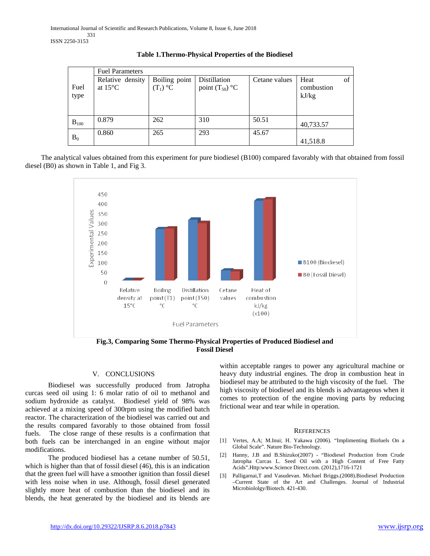|              | <b>Fuel Parameters</b>                |                             |                                     |               |                             |    |
|--------------|---------------------------------------|-----------------------------|-------------------------------------|---------------|-----------------------------|----|
| Fuel<br>type | Relative density<br>at $15^{\circ}$ C | Boiling point<br>$(T_1)$ °C | Distillation<br>point $(T_{50})$ °C | Cetane values | Heat<br>combustion<br>kJ/kg | of |
| $B_{100}$    | 0.879                                 | 262                         | 310                                 | 50.51         | 40,733.57                   |    |
| $B_0$        | 0.860                                 | 265                         | 293                                 | 45.67         |                             |    |
|              |                                       |                             |                                     |               | 41,518.8                    |    |

**Table 1.Thermo-Physical Properties of the Biodiesel**

 The analytical values obtained from this experiment for pure biodiesel (B100) compared favorably with that obtained from fossil diesel (B0) as shown in Table 1, and Fig 3.



**Fig.3, Comparing Some Thermo-Physical Properties of Produced Biodiesel and Fossil Diesel**

# V. CONCLUSIONS

 Biodiesel was successfully produced from Jatropha curcas seed oil using 1: 6 molar ratio of oil to methanol and sodium hydroxide as catalyst. Biodiesel yield of 98% was achieved at a mixing speed of 300rpm using the modified batch reactor. The characterization of the biodiesel was carried out and the results compared favorably to those obtained from fossil fuels. The close range of these results is a confirmation that both fuels can be interchanged in an engine without major modifications.

 The produced biodiesel has a cetane number of 50.51, which is higher than that of fossil diesel (46), this is an indication that the green fuel will have a smoother ignition than fossil diesel with less noise when in use. Although, fossil diesel generated slightly more heat of combustion than the biodiesel and its blends, the heat generated by the biodiesel and its blends are

within acceptable ranges to power any agricultural machine or heavy duty industrial engines. The drop in combustion heat in biodiesel may be attributed to the high viscosity of the fuel. The high viscosity of biodiesel and its blends is advantageous when it comes to protection of the engine moving parts by reducing frictional wear and tear while in operation.

#### **REFERENCES**

- [1] Vertes, A.A; M.Inui; H. Yakawa (2006). "Implimenting Biofuels On a Global Scale". Nature Bio-Technology.
- [2] Hanny, J.B and B.Shizuko(2007) "Biodiesel Production from Crude Jatropha Curcas L. Seed Oil with a High Content of Free Fatty Acids".Http:www.Science Direct.com. (2012),1716-1721
- [3] Palligarnai,T and Vasudevan. Michael Briggs.(2008).Biodiesel Production –Current State of the Art and Challenges. Journal of Industrial Microbiololgy/Biotech. 421-430.